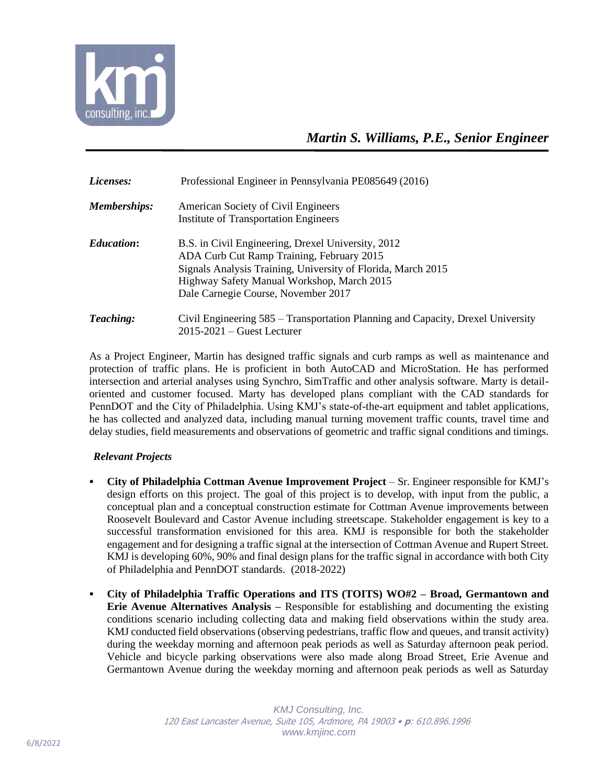

| Licenses:         | Professional Engineer in Pennsylvania PE085649 (2016)                                                                                                                                                                                                |
|-------------------|------------------------------------------------------------------------------------------------------------------------------------------------------------------------------------------------------------------------------------------------------|
| Memberships:      | American Society of Civil Engineers<br><b>Institute of Transportation Engineers</b>                                                                                                                                                                  |
| <b>Education:</b> | B.S. in Civil Engineering, Drexel University, 2012<br>ADA Curb Cut Ramp Training, February 2015<br>Signals Analysis Training, University of Florida, March 2015<br>Highway Safety Manual Workshop, March 2015<br>Dale Carnegie Course, November 2017 |
| <b>Teaching:</b>  | Civil Engineering 585 – Transportation Planning and Capacity, Drexel University<br>$2015 - 2021$ – Guest Lecturer                                                                                                                                    |

As a Project Engineer, Martin has designed traffic signals and curb ramps as well as maintenance and protection of traffic plans. He is proficient in both AutoCAD and MicroStation. He has performed intersection and arterial analyses using Synchro, SimTraffic and other analysis software. Marty is detailoriented and customer focused. Marty has developed plans compliant with the CAD standards for PennDOT and the City of Philadelphia. Using KMJ's state-of-the-art equipment and tablet applications, he has collected and analyzed data, including manual turning movement traffic counts, travel time and delay studies, field measurements and observations of geometric and traffic signal conditions and timings.

## *Relevant Projects*

- **City of Philadelphia Cottman Avenue Improvement Project** Sr. Engineer responsible for KMJ's design efforts on this project. The goal of this project is to develop, with input from the public, a conceptual plan and a conceptual construction estimate for Cottman Avenue improvements between Roosevelt Boulevard and Castor Avenue including streetscape. Stakeholder engagement is key to a successful transformation envisioned for this area. KMJ is responsible for both the stakeholder engagement and for designing a traffic signal at the intersection of Cottman Avenue and Rupert Street. KMJ is developing 60%, 90% and final design plans for the traffic signal in accordance with both City of Philadelphia and PennDOT standards. (2018-2022)
- **City of Philadelphia Traffic Operations and ITS (TOITS) WO#2 – Broad, Germantown and Erie Avenue Alternatives Analysis –** Responsible for establishing and documenting the existing conditions scenario including collecting data and making field observations within the study area. KMJ conducted field observations (observing pedestrians, traffic flow and queues, and transit activity) during the weekday morning and afternoon peak periods as well as Saturday afternoon peak period. Vehicle and bicycle parking observations were also made along Broad Street, Erie Avenue and Germantown Avenue during the weekday morning and afternoon peak periods as well as Saturday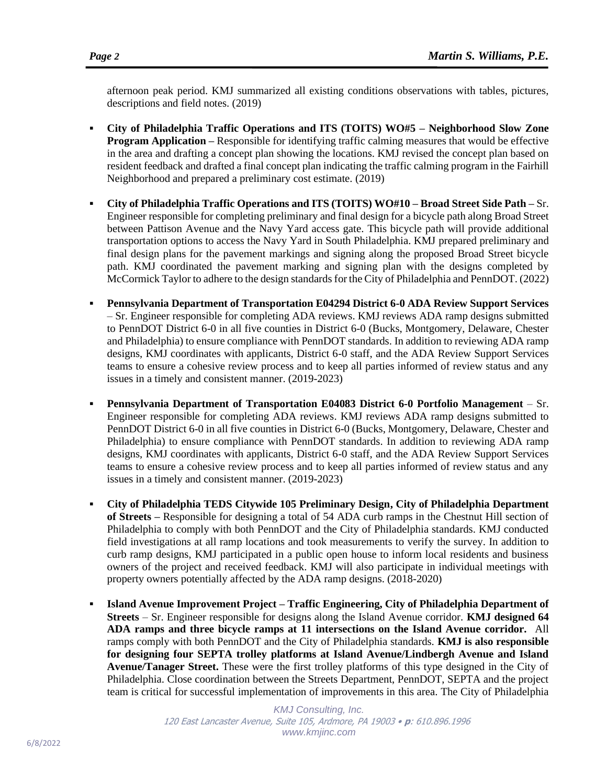afternoon peak period. KMJ summarized all existing conditions observations with tables, pictures, descriptions and field notes. (2019)

- **City of Philadelphia Traffic Operations and ITS (TOITS) WO#5 – Neighborhood Slow Zone Program Application –** Responsible for identifying traffic calming measures that would be effective in the area and drafting a concept plan showing the locations. KMJ revised the concept plan based on resident feedback and drafted a final concept plan indicating the traffic calming program in the Fairhill Neighborhood and prepared a preliminary cost estimate. (2019)
- **City of Philadelphia Traffic Operations and ITS (TOITS) WO#10 – Broad Street Side Path –** Sr. Engineer responsible for completing preliminary and final design for a bicycle path along Broad Street between Pattison Avenue and the Navy Yard access gate. This bicycle path will provide additional transportation options to access the Navy Yard in South Philadelphia. KMJ prepared preliminary and final design plans for the pavement markings and signing along the proposed Broad Street bicycle path. KMJ coordinated the pavement marking and signing plan with the designs completed by McCormick Taylor to adhere to the design standards for the City of Philadelphia and PennDOT. (2022)
- **Pennsylvania Department of Transportation E04294 District 6-0 ADA Review Support Services** – Sr. Engineer responsible for completing ADA reviews. KMJ reviews ADA ramp designs submitted to PennDOT District 6-0 in all five counties in District 6-0 (Bucks, Montgomery, Delaware, Chester and Philadelphia) to ensure compliance with PennDOT standards. In addition to reviewing ADA ramp designs, KMJ coordinates with applicants, District 6-0 staff, and the ADA Review Support Services teams to ensure a cohesive review process and to keep all parties informed of review status and any issues in a timely and consistent manner. (2019-2023)
- **Pennsylvania Department of Transportation E04083 District 6-0 Portfolio Management** Sr. Engineer responsible for completing ADA reviews. KMJ reviews ADA ramp designs submitted to PennDOT District 6-0 in all five counties in District 6-0 (Bucks, Montgomery, Delaware, Chester and Philadelphia) to ensure compliance with PennDOT standards. In addition to reviewing ADA ramp designs, KMJ coordinates with applicants, District 6-0 staff, and the ADA Review Support Services teams to ensure a cohesive review process and to keep all parties informed of review status and any issues in a timely and consistent manner. (2019-2023)
- **City of Philadelphia TEDS Citywide 105 Preliminary Design, City of Philadelphia Department of Streets –** Responsible for designing a total of 54 ADA curb ramps in the Chestnut Hill section of Philadelphia to comply with both PennDOT and the City of Philadelphia standards. KMJ conducted field investigations at all ramp locations and took measurements to verify the survey. In addition to curb ramp designs, KMJ participated in a public open house to inform local residents and business owners of the project and received feedback. KMJ will also participate in individual meetings with property owners potentially affected by the ADA ramp designs. (2018-2020)
- **Island Avenue Improvement Project – Traffic Engineering, City of Philadelphia Department of Streets** – Sr. Engineer responsible for designs along the Island Avenue corridor. **KMJ designed 64 ADA ramps and three bicycle ramps at 11 intersections on the Island Avenue corridor.** All ramps comply with both PennDOT and the City of Philadelphia standards. **KMJ is also responsible for designing four SEPTA trolley platforms at Island Avenue/Lindbergh Avenue and Island Avenue/Tanager Street.** These were the first trolley platforms of this type designed in the City of Philadelphia. Close coordination between the Streets Department, PennDOT, SEPTA and the project team is critical for successful implementation of improvements in this area. The City of Philadelphia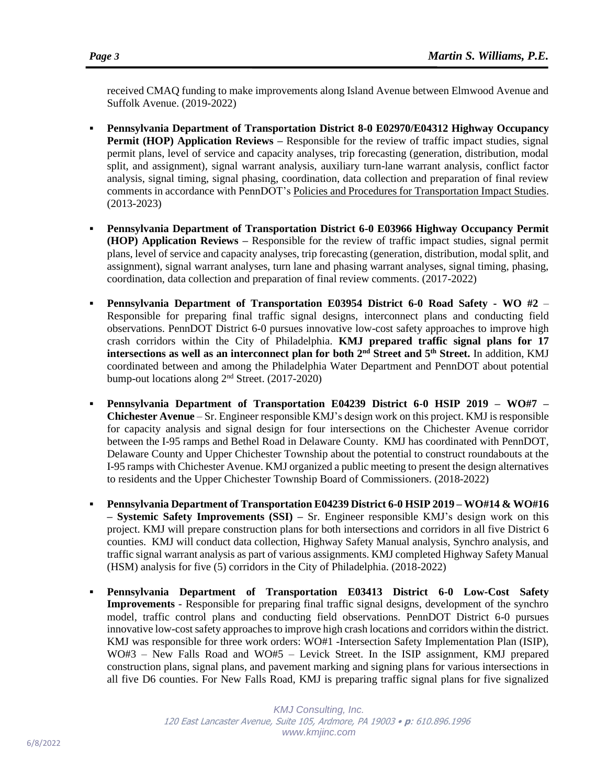received CMAQ funding to make improvements along Island Avenue between Elmwood Avenue and Suffolk Avenue. (2019-2022)

- **Pennsylvania Department of Transportation District 8-0 E02970/E04312 Highway Occupancy Permit (HOP) Application Reviews** – Responsible for the review of traffic impact studies, signal permit plans, level of service and capacity analyses, trip forecasting (generation, distribution, modal split, and assignment), signal warrant analysis, auxiliary turn-lane warrant analysis, conflict factor analysis, signal timing, signal phasing, coordination, data collection and preparation of final review comments in accordance with PennDOT's Policies and Procedures for Transportation Impact Studies. (2013-2023)
- Pennsylvania Department of Transportation District 6-0 E03966 Highway Occupancy Permit **(HOP) Application Reviews –** Responsible for the review of traffic impact studies, signal permit plans, level of service and capacity analyses, trip forecasting (generation, distribution, modal split, and assignment), signal warrant analyses, turn lane and phasing warrant analyses, signal timing, phasing, coordination, data collection and preparation of final review comments. (2017-2022)
- **Pennsylvania Department of Transportation E03954 District 6-0 Road Safety - WO #2**  Responsible for preparing final traffic signal designs, interconnect plans and conducting field observations. PennDOT District 6-0 pursues innovative low-cost safety approaches to improve high crash corridors within the City of Philadelphia. **KMJ prepared traffic signal plans for 17 intersections as well as an interconnect plan for both 2nd Street and 5th Street.** In addition, KMJ coordinated between and among the Philadelphia Water Department and PennDOT about potential bump-out locations along 2nd Street. (2017-2020)
- **Pennsylvania Department of Transportation E04239 District 6-0 HSIP 2019 – WO#7 – Chichester Avenue** – Sr. Engineer responsible KMJ's design work on this project. KMJ is responsible for capacity analysis and signal design for four intersections on the Chichester Avenue corridor between the I-95 ramps and Bethel Road in Delaware County. KMJ has coordinated with PennDOT, Delaware County and Upper Chichester Township about the potential to construct roundabouts at the I-95 ramps with Chichester Avenue. KMJ organized a public meeting to present the design alternatives to residents and the Upper Chichester Township Board of Commissioners. (2018-2022)
- **Pennsylvania Department of Transportation E04239 District 6-0 HSIP 2019 – WO#14 & WO#16 – Systemic Safety Improvements (SSI) –** Sr. Engineer responsible KMJ's design work on this project. KMJ will prepare construction plans for both intersections and corridors in all five District 6 counties. KMJ will conduct data collection, Highway Safety Manual analysis, Synchro analysis, and traffic signal warrant analysis as part of various assignments. KMJ completed Highway Safety Manual (HSM) analysis for five (5) corridors in the City of Philadelphia. (2018-2022)
- **Pennsylvania Department of Transportation E03413 District 6-0 Low-Cost Safety Improvements** - Responsible for preparing final traffic signal designs, development of the synchro model, traffic control plans and conducting field observations. PennDOT District 6-0 pursues innovative low-cost safety approaches to improve high crash locations and corridors within the district. KMJ was responsible for three work orders: WO#1 -Intersection Safety Implementation Plan (ISIP), WO#3 – New Falls Road and WO#5 – Levick Street. In the ISIP assignment, KMJ prepared construction plans, signal plans, and pavement marking and signing plans for various intersections in all five D6 counties. For New Falls Road, KMJ is preparing traffic signal plans for five signalized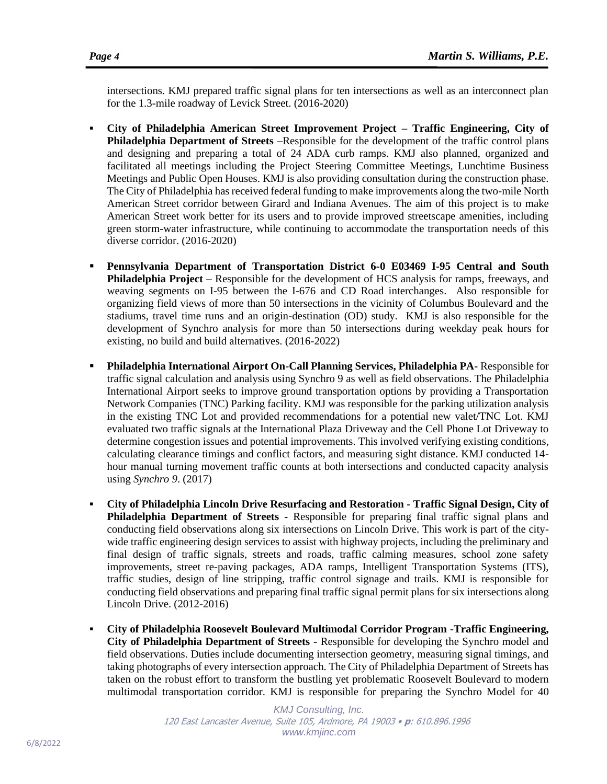intersections. KMJ prepared traffic signal plans for ten intersections as well as an interconnect plan for the 1.3-mile roadway of Levick Street. (2016-2020)

- **City of Philadelphia American Street Improvement Project – Traffic Engineering, City of Philadelphia Department of Streets –**Responsible for the development of the traffic control plans and designing and preparing a total of 24 ADA curb ramps. KMJ also planned, organized and facilitated all meetings including the Project Steering Committee Meetings, Lunchtime Business Meetings and Public Open Houses. KMJ is also providing consultation during the construction phase. The City of Philadelphia has received federal funding to make improvements along the two-mile North American Street corridor between Girard and Indiana Avenues. The aim of this project is to make American Street work better for its users and to provide improved streetscape amenities, including green storm-water infrastructure, while continuing to accommodate the transportation needs of this diverse corridor. (2016-2020)
- **Pennsylvania Department of Transportation District 6-0 E03469 I-95 Central and South Philadelphia Project –** Responsible for the development of HCS analysis for ramps, freeways, and weaving segments on I-95 between the I-676 and CD Road interchanges. Also responsible for organizing field views of more than 50 intersections in the vicinity of Columbus Boulevard and the stadiums, travel time runs and an origin-destination (OD) study. KMJ is also responsible for the development of Synchro analysis for more than 50 intersections during weekday peak hours for existing, no build and build alternatives. (2016-2022)
- **Philadelphia International Airport On-Call Planning Services, Philadelphia PA-** Responsible for traffic signal calculation and analysis using Synchro 9 as well as field observations. The Philadelphia International Airport seeks to improve ground transportation options by providing a Transportation Network Companies (TNC) Parking facility. KMJ was responsible for the parking utilization analysis in the existing TNC Lot and provided recommendations for a potential new valet/TNC Lot. KMJ evaluated two traffic signals at the International Plaza Driveway and the Cell Phone Lot Driveway to determine congestion issues and potential improvements. This involved verifying existing conditions, calculating clearance timings and conflict factors, and measuring sight distance. KMJ conducted 14 hour manual turning movement traffic counts at both intersections and conducted capacity analysis using *Synchro 9*. (2017)
- **City of Philadelphia Lincoln Drive Resurfacing and Restoration - Traffic Signal Design, City of Philadelphia Department of Streets -** Responsible for preparing final traffic signal plans and conducting field observations along six intersections on Lincoln Drive. This work is part of the citywide traffic engineering design services to assist with highway projects, including the preliminary and final design of traffic signals, streets and roads, traffic calming measures, school zone safety improvements, street re-paving packages, ADA ramps, Intelligent Transportation Systems (ITS), traffic studies, design of line stripping, traffic control signage and trails. KMJ is responsible for conducting field observations and preparing final traffic signal permit plans for six intersections along Lincoln Drive. (2012-2016)
- **City of Philadelphia Roosevelt Boulevard Multimodal Corridor Program -Traffic Engineering, City of Philadelphia Department of Streets** - Responsible for developing the Synchro model and field observations. Duties include documenting intersection geometry, measuring signal timings, and taking photographs of every intersection approach. The City of Philadelphia Department of Streets has taken on the robust effort to transform the bustling yet problematic Roosevelt Boulevard to modern multimodal transportation corridor. KMJ is responsible for preparing the Synchro Model for 40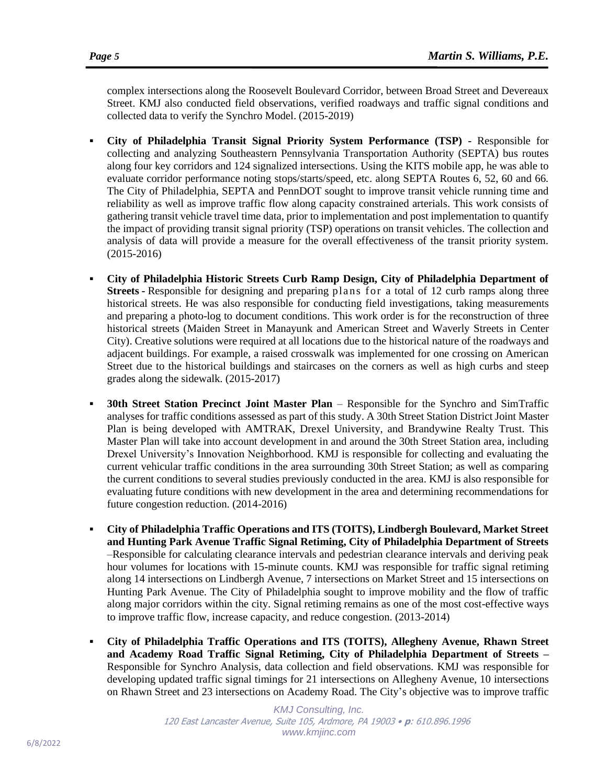complex intersections along the Roosevelt Boulevard Corridor, between Broad Street and Devereaux Street. KMJ also conducted field observations, verified roadways and traffic signal conditions and collected data to verify the Synchro Model. (2015-2019)

- **City of Philadelphia Transit Signal Priority System Performance (TSP) -** Responsible for collecting and analyzing Southeastern Pennsylvania Transportation Authority (SEPTA) bus routes along four key corridors and 124 signalized intersections. Using the KITS mobile app, he was able to evaluate corridor performance noting stops/starts/speed, etc. along SEPTA Routes 6, 52, 60 and 66. The City of Philadelphia, SEPTA and PennDOT sought to improve transit vehicle running time and reliability as well as improve traffic flow along capacity constrained arterials. This work consists of gathering transit vehicle travel time data, prior to implementation and post implementation to quantify the impact of providing transit signal priority (TSP) operations on transit vehicles. The collection and analysis of data will provide a measure for the overall effectiveness of the transit priority system. (2015-2016)
- **City of Philadelphia Historic Streets Curb Ramp Design, City of Philadelphia Department of Streets -** Responsible for designing and preparing plans for a total of 12 curb ramps along three historical streets. He was also responsible for conducting field investigations, taking measurements and preparing a photo-log to document conditions. This work order is for the reconstruction of three historical streets (Maiden Street in Manayunk and American Street and Waverly Streets in Center City). Creative solutions were required at all locations due to the historical nature of the roadways and adjacent buildings. For example, a raised crosswalk was implemented for one crossing on American Street due to the historical buildings and staircases on the corners as well as high curbs and steep grades along the sidewalk. (2015-2017)
- **30th Street Station Precinct Joint Master Plan** Responsible for the Synchro and SimTraffic analyses for traffic conditions assessed as part of this study. A 30th Street Station District Joint Master Plan is being developed with AMTRAK, Drexel University, and Brandywine Realty Trust. This Master Plan will take into account development in and around the 30th Street Station area, including Drexel University's Innovation Neighborhood. KMJ is responsible for collecting and evaluating the current vehicular traffic conditions in the area surrounding 30th Street Station; as well as comparing the current conditions to several studies previously conducted in the area. KMJ is also responsible for evaluating future conditions with new development in the area and determining recommendations for future congestion reduction. (2014-2016)
- **City of Philadelphia Traffic Operations and ITS (TOITS), Lindbergh Boulevard, Market Street and Hunting Park Avenue Traffic Signal Retiming, City of Philadelphia Department of Streets** –Responsible for calculating clearance intervals and pedestrian clearance intervals and deriving peak hour volumes for locations with 15-minute counts. KMJ was responsible for traffic signal retiming along 14 intersections on Lindbergh Avenue, 7 intersections on Market Street and 15 intersections on Hunting Park Avenue. The City of Philadelphia sought to improve mobility and the flow of traffic along major corridors within the city. Signal retiming remains as one of the most cost-effective ways to improve traffic flow, increase capacity, and reduce congestion. (2013-2014)
- **City of Philadelphia Traffic Operations and ITS (TOITS), Allegheny Avenue, Rhawn Street and Academy Road Traffic Signal Retiming, City of Philadelphia Department of Streets –** Responsible for Synchro Analysis, data collection and field observations. KMJ was responsible for developing updated traffic signal timings for 21 intersections on Allegheny Avenue, 10 intersections on Rhawn Street and 23 intersections on Academy Road. The City's objective was to improve traffic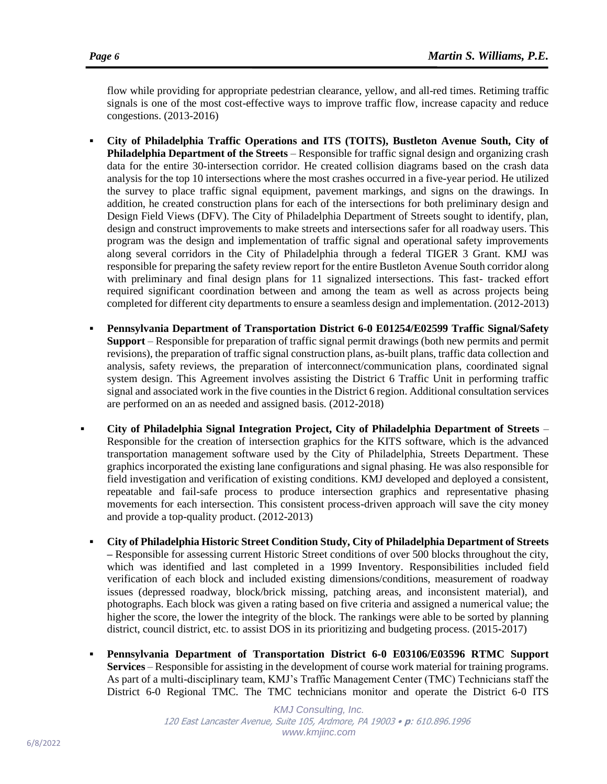flow while providing for appropriate pedestrian clearance, yellow, and all-red times. Retiming traffic signals is one of the most cost-effective ways to improve traffic flow, increase capacity and reduce congestions. (2013-2016)

- **City of Philadelphia Traffic Operations and ITS (TOITS), Bustleton Avenue South, City of Philadelphia Department of the Streets** – Responsible for traffic signal design and organizing crash data for the entire 30-intersection corridor. He created collision diagrams based on the crash data analysis for the top 10 intersections where the most crashes occurred in a five-year period. He utilized the survey to place traffic signal equipment, pavement markings, and signs on the drawings. In addition, he created construction plans for each of the intersections for both preliminary design and Design Field Views (DFV). The City of Philadelphia Department of Streets sought to identify, plan, design and construct improvements to make streets and intersections safer for all roadway users. This program was the design and implementation of traffic signal and operational safety improvements along several corridors in the City of Philadelphia through a federal TIGER 3 Grant. KMJ was responsible for preparing the safety review report for the entire Bustleton Avenue South corridor along with preliminary and final design plans for 11 signalized intersections. This fast- tracked effort required significant coordination between and among the team as well as across projects being completed for different city departments to ensure a seamless design and implementation. (2012-2013)
- **Pennsylvania Department of Transportation District 6-0 E01254/E02599 Traffic Signal/Safety Support** – Responsible for preparation of traffic signal permit drawings (both new permits and permit revisions), the preparation of traffic signal construction plans, as-built plans, traffic data collection and analysis, safety reviews, the preparation of interconnect/communication plans, coordinated signal system design. This Agreement involves assisting the District 6 Traffic Unit in performing traffic signal and associated work in the five counties in the District 6 region. Additional consultation services are performed on an as needed and assigned basis. (2012-2018)
- **City of Philadelphia Signal Integration Project, City of Philadelphia Department of Streets** Responsible for the creation of intersection graphics for the KITS software, which is the advanced transportation management software used by the City of Philadelphia, Streets Department. These graphics incorporated the existing lane configurations and signal phasing. He was also responsible for field investigation and verification of existing conditions. KMJ developed and deployed a consistent, repeatable and fail-safe process to produce intersection graphics and representative phasing movements for each intersection. This consistent process-driven approach will save the city money and provide a top-quality product. (2012-2013)
	- **City of Philadelphia Historic Street Condition Study, City of Philadelphia Department of Streets –** Responsible for assessing current Historic Street conditions of over 500 blocks throughout the city, which was identified and last completed in a 1999 Inventory. Responsibilities included field verification of each block and included existing dimensions/conditions, measurement of roadway issues (depressed roadway, block/brick missing, patching areas, and inconsistent material), and photographs. Each block was given a rating based on five criteria and assigned a numerical value; the higher the score, the lower the integrity of the block. The rankings were able to be sorted by planning district, council district, etc. to assist DOS in its prioritizing and budgeting process. (2015-2017)
- **Pennsylvania Department of Transportation District 6-0 E03106/E03596 RTMC Support Services** – Responsible for assisting in the development of course work material for training programs. As part of a multi-disciplinary team, KMJ's Traffic Management Center (TMC) Technicians staff the District 6-0 Regional TMC. The TMC technicians monitor and operate the District 6-0 ITS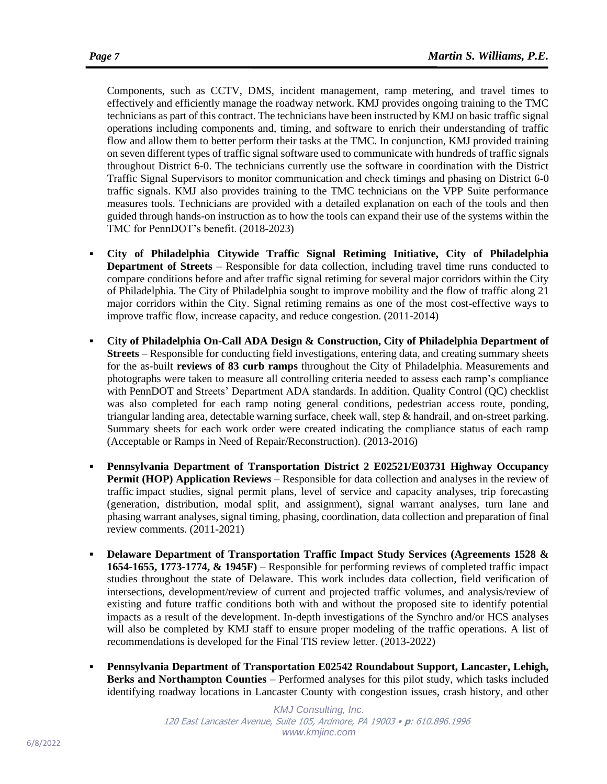Components, such as CCTV, DMS, incident management, ramp metering, and travel times to effectively and efficiently manage the roadway network. KMJ provides ongoing training to the TMC technicians as part of this contract. The technicians have been instructed by KMJ on basic traffic signal operations including components and, timing, and software to enrich their understanding of traffic flow and allow them to better perform their tasks at the TMC. In conjunction, KMJ provided training on seven different types of traffic signal software used to communicate with hundreds of traffic signals throughout District 6-0. The technicians currently use the software in coordination with the District Traffic Signal Supervisors to monitor communication and check timings and phasing on District 6-0 traffic signals. KMJ also provides training to the TMC technicians on the VPP Suite performance measures tools. Technicians are provided with a detailed explanation on each of the tools and then guided through hands-on instruction as to how the tools can expand their use of the systems within the TMC for PennDOT's benefit. (2018-2023)

- **City of Philadelphia Citywide Traffic Signal Retiming Initiative, City of Philadelphia Department of Streets** – Responsible for data collection, including travel time runs conducted to compare conditions before and after traffic signal retiming for several major corridors within the City of Philadelphia. The City of Philadelphia sought to improve mobility and the flow of traffic along 21 major corridors within the City. Signal retiming remains as one of the most cost-effective ways to improve traffic flow, increase capacity, and reduce congestion. (2011-2014)
- **City of Philadelphia On-Call ADA Design & Construction, City of Philadelphia Department of Streets** – Responsible for conducting field investigations, entering data, and creating summary sheets for the as-built **reviews of 83 curb ramps** throughout the City of Philadelphia. Measurements and photographs were taken to measure all controlling criteria needed to assess each ramp's compliance with PennDOT and Streets' Department ADA standards. In addition, Quality Control (QC) checklist was also completed for each ramp noting general conditions, pedestrian access route, ponding, triangular landing area, detectable warning surface, cheek wall, step & handrail, and on-street parking. Summary sheets for each work order were created indicating the compliance status of each ramp (Acceptable or Ramps in Need of Repair/Reconstruction). (2013-2016)
- **Pennsylvania Department of Transportation District 2 E02521/E03731 Highway Occupancy Permit (HOP) Application Reviews** – Responsible for data collection and analyses in the review of traffic impact studies, signal permit plans, level of service and capacity analyses, trip forecasting (generation, distribution, modal split, and assignment), signal warrant analyses, turn lane and phasing warrant analyses, signal timing, phasing, coordination, data collection and preparation of final review comments. (2011-2021)
- **Delaware Department of Transportation Traffic Impact Study Services (Agreements 1528 & 1654-1655, 1773-1774, & 1945F)** – Responsible for performing reviews of completed traffic impact studies throughout the state of Delaware. This work includes data collection, field verification of intersections, development/review of current and projected traffic volumes, and analysis/review of existing and future traffic conditions both with and without the proposed site to identify potential impacts as a result of the development. In-depth investigations of the Synchro and/or HCS analyses will also be completed by KMJ staff to ensure proper modeling of the traffic operations. A list of recommendations is developed for the Final TIS review letter. (2013-2022)
- **Pennsylvania Department of Transportation E02542 Roundabout Support, Lancaster, Lehigh, Berks and Northampton Counties** – Performed analyses for this pilot study, which tasks included identifying roadway locations in Lancaster County with congestion issues, crash history, and other